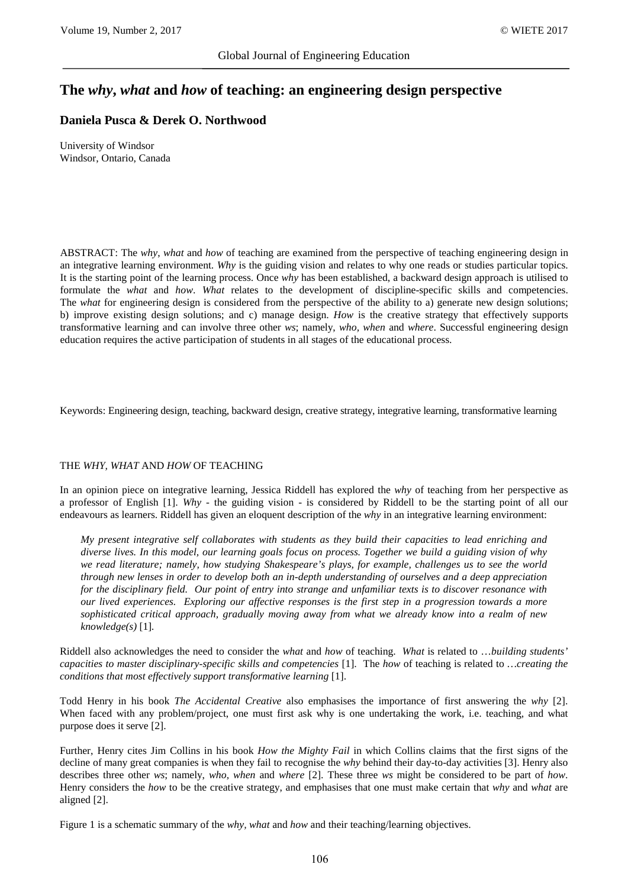# **The** *why***,** *what* **and** *how* **of teaching: an engineering design perspective**

## **Daniela Pusca & Derek O. Northwood**

University of Windsor Windsor, Ontario, Canada

ABSTRACT: The *why*, *what* and *how* of teaching are examined from the perspective of teaching engineering design in an integrative learning environment. *Why* is the guiding vision and relates to why one reads or studies particular topics. It is the starting point of the learning process. Once *why* has been established, a backward design approach is utilised to formulate the *what* and *how*. *What* relates to the development of discipline-specific skills and competencies. The *what* for engineering design is considered from the perspective of the ability to a) generate new design solutions; b) improve existing design solutions; and c) manage design. *How* is the creative strategy that effectively supports transformative learning and can involve three other *ws*; namely, *who, when* and *where*. Successful engineering design education requires the active participation of students in all stages of the educational process.

Keywords: Engineering design, teaching, backward design, creative strategy, integrative learning, transformative learning

## THE *WHY, WHAT* AND *HOW* OF TEACHING

In an opinion piece on integrative learning, Jessica Riddell has explored the *why* of teaching from her perspective as a professor of English [1]. *Why* - the guiding vision - is considered by Riddell to be the starting point of all our endeavours as learners. Riddell has given an eloquent description of the *why* in an integrative learning environment:

*My present integrative self collaborates with students as they build their capacities to lead enriching and diverse lives. In this model, our learning goals focus on process. Together we build a guiding vision of why we read literature; namely, how studying Shakespeare's plays, for example, challenges us to see the world through new lenses in order to develop both an in-depth understanding of ourselves and a deep appreciation for the disciplinary field. Our point of entry into strange and unfamiliar texts is to discover resonance with our lived experiences. Exploring our affective responses is the first step in a progression towards a more sophisticated critical approach, gradually moving away from what we already know into a realm of new knowledge(s)* [1]*.*

Riddell also acknowledges the need to consider the *what* and *how* of teaching. *What* is related to …*building students' capacities to master disciplinary-specific skills and competencies* [1]. The *how* of teaching is related to *…creating the conditions that most effectively support transformative learning* [1].

Todd Henry in his book *The Accidental Creative* also emphasises the importance of first answering the *why* [2]. When faced with any problem/project, one must first ask why is one undertaking the work, i.e. teaching, and what purpose does it serve [2].

Further, Henry cites Jim Collins in his book *How the Mighty Fail* in which Collins claims that the first signs of the decline of many great companies is when they fail to recognise the *why* behind their day-to-day activities [3]. Henry also describes three other *ws*; namely, *who, when* and *where* [2]. These three *ws* might be considered to be part of *how*. Henry considers the *how* to be the creative strategy, and emphasises that one must make certain that *why* and *what* are aligned [2].

Figure 1 is a schematic summary of the *why, what* and *how* and their teaching/learning objectives.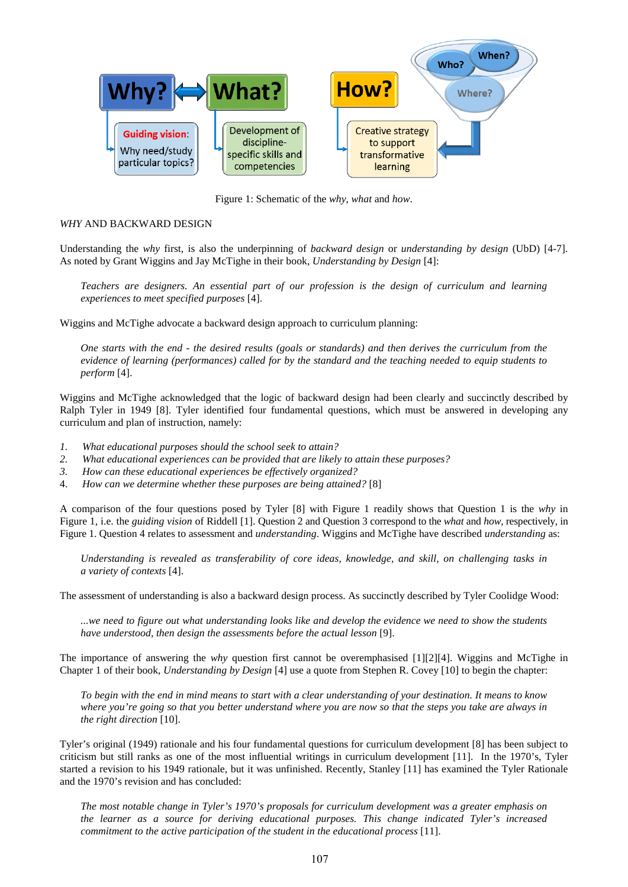

Figure 1: Schematic of the *why*, *what* and *how*.

## *WHY* AND BACKWARD DESIGN

Understanding the *why* first, is also the underpinning of *backward design* or *understanding by design* (UbD) [4-7]. As noted by Grant Wiggins and Jay McTighe in their book, *Understanding by Design* [4]:

*Teachers are designers. An essential part of our profession is the design of curriculum and learning experiences to meet specified purposes* [4].

Wiggins and McTighe advocate a backward design approach to curriculum planning:

*One starts with the end - the desired results (goals or standards) and then derives the curriculum from the evidence of learning (performances) called for by the standard and the teaching needed to equip students to perform* [4].

Wiggins and McTighe acknowledged that the logic of backward design had been clearly and succinctly described by Ralph Tyler in 1949 [8]. Tyler identified four fundamental questions, which must be answered in developing any curriculum and plan of instruction, namely:

- *1. What educational purposes should the school seek to attain?*
- *2. What educational experiences can be provided that are likely to attain these purposes?*
- *3. How can these educational experiences be effectively organized?*
- 4. *How can we determine whether these purposes are being attained?* [8]

A comparison of the four questions posed by Tyler [8] with Figure 1 readily shows that Question 1 is the *why* in Figure 1, i.e. the *guiding vision* of Riddell [1]. Question 2 and Question 3 correspond to the *what* and *how*, respectively, in Figure 1. Question 4 relates to assessment and *understanding*. Wiggins and McTighe have described *understanding* as:

*Understanding is revealed as transferability of core ideas, knowledge, and skill, on challenging tasks in a variety of contexts* [4].

The assessment of understanding is also a backward design process. As succinctly described by Tyler Coolidge Wood:

*...we need to figure out what understanding looks like and develop the evidence we need to show the students have understood, then design the assessments before the actual lesson* [9].

The importance of answering the *why* question first cannot be overemphasised [1][2][4]. Wiggins and McTighe in Chapter 1 of their book, *Understanding by Design* [4] use a quote from Stephen R. Covey [10] to begin the chapter:

*To begin with the end in mind means to start with a clear understanding of your destination. It means to know where you're going so that you better understand where you are now so that the steps you take are always in the right direction* [10].

Tyler's original (1949) rationale and his four fundamental questions for curriculum development [8] has been subject to criticism but still ranks as one of the most influential writings in curriculum development [11]. In the 1970's, Tyler started a revision to his 1949 rationale, but it was unfinished. Recently, Stanley [11] has examined the Tyler Rationale and the 1970's revision and has concluded:

*The most notable change in Tyler's 1970's proposals for curriculum development was a greater emphasis on the learner as a source for deriving educational purposes. This change indicated Tyler's increased commitment to the active participation of the student in the educational process* [11].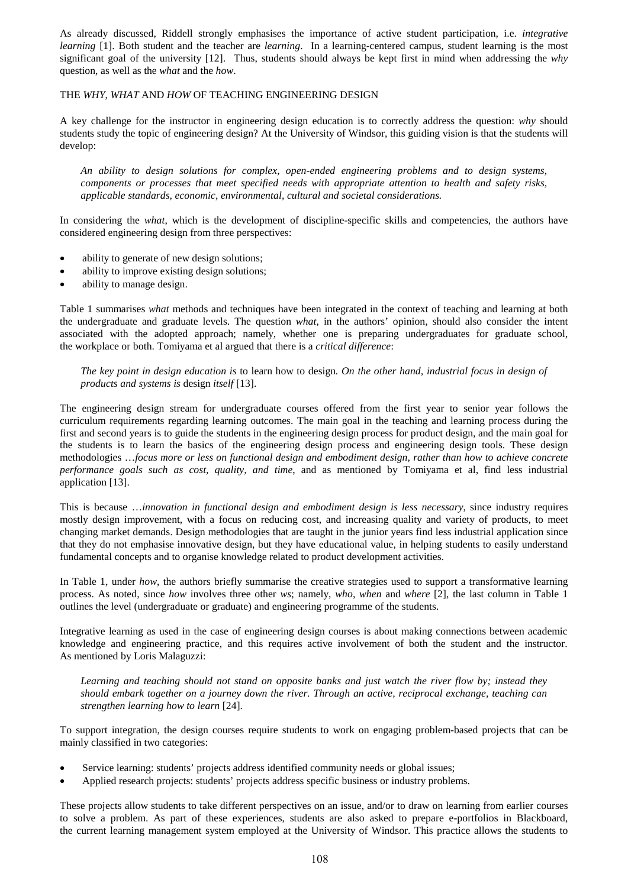As already discussed, Riddell strongly emphasises the importance of active student participation, i.e. *integrative learning* [1]. Both student and the teacher are *learning*. In a learning-centered campus, student learning is the most significant goal of the university [12]. Thus, students should always be kept first in mind when addressing the *why* question, as well as the *what* and the *how*.

## THE *WHY*, *WHAT* AND *HOW* OF TEACHING ENGINEERING DESIGN

A key challenge for the instructor in engineering design education is to correctly address the question: *why* should students study the topic of engineering design? At the University of Windsor, this guiding vision is that the students will develop:

*An ability to design solutions for complex, open-ended engineering problems and to design systems, components or processes that meet specified needs with appropriate attention to health and safety risks, applicable standards, economic, environmental, cultural and societal considerations.*

In considering the *what*, which is the development of discipline-specific skills and competencies, the authors have considered engineering design from three perspectives:

- ability to generate of new design solutions;
- ability to improve existing design solutions;
- ability to manage design.

Table 1 summarises *what* methods and techniques have been integrated in the context of teaching and learning at both the undergraduate and graduate levels. The question *what*, in the authors' opinion, should also consider the intent associated with the adopted approach; namely, whether one is preparing undergraduates for graduate school, the workplace or both. Tomiyama et al argued that there is a *critical difference*:

*The key point in design education is* to learn how to design*. On the other hand, industrial focus in design of products and systems is* design *itself* [13].

The engineering design stream for undergraduate courses offered from the first year to senior year follows the curriculum requirements regarding learning outcomes. The main goal in the teaching and learning process during the first and second years is to guide the students in the engineering design process for product design, and the main goal for the students is to learn the basics of the engineering design process and engineering design tools. These design methodologies …*focus more or less on functional design and embodiment design, rather than how to achieve concrete performance goals such as cost, quality, and time*, and as mentioned by Tomiyama et al, find less industrial application [13].

This is because …*innovation in functional design and embodiment design is less necessary*, since industry requires mostly design improvement, with a focus on reducing cost, and increasing quality and variety of products, to meet changing market demands. Design methodologies that are taught in the junior years find less industrial application since that they do not emphasise innovative design, but they have educational value, in helping students to easily understand fundamental concepts and to organise knowledge related to product development activities.

In Table 1, under *how*, the authors briefly summarise the creative strategies used to support a transformative learning process. As noted, since *how* involves three other *ws*; namely, *who*, *when* and *where* [2], the last column in Table 1 outlines the level (undergraduate or graduate) and engineering programme of the students.

Integrative learning as used in the case of engineering design courses is about making connections between academic knowledge and engineering practice, and this requires active involvement of both the student and the instructor. As mentioned by Loris Malaguzzi:

*Learning and teaching should not stand on opposite banks and just watch the river flow by; instead they should embark together on a journey down the river. Through an active, reciprocal exchange, teaching can strengthen learning how to learn* [24].

To support integration, the design courses require students to work on engaging problem-based projects that can be mainly classified in two categories:

- Service learning: students' projects address identified community needs or global issues;
- Applied research projects: students' projects address specific business or industry problems.

These projects allow students to take different perspectives on an issue, and/or to draw on learning from earlier courses to solve a problem. As part of these experiences, students are also asked to prepare e-portfolios in Blackboard, the current learning management system employed at the University of Windsor. This practice allows the students to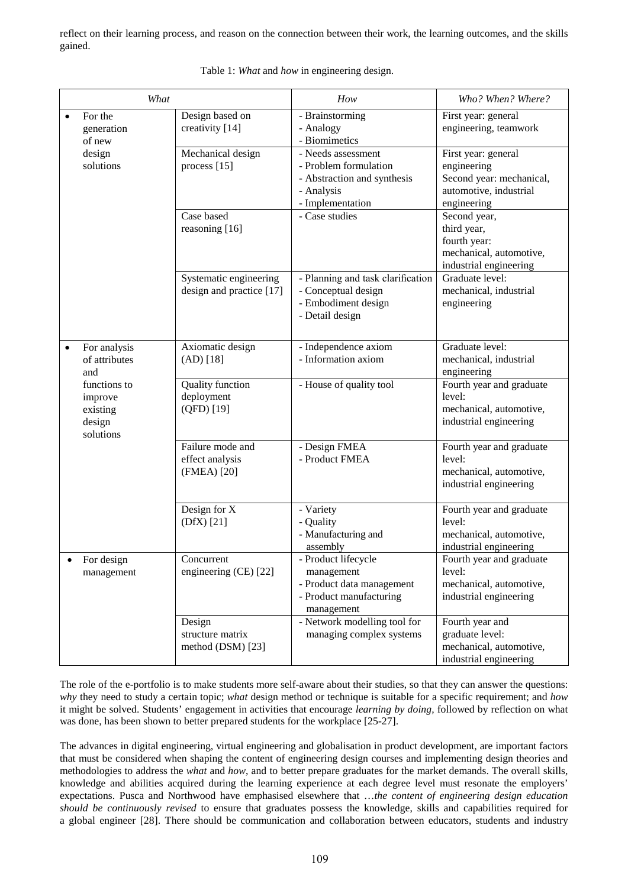reflect on their learning process, and reason on the connection between their work, the learning outcomes, and the skills gained.

| What      |                                                            |                                                     | How                                                                                                                            | Who? When? Where?                                                                                                       |
|-----------|------------------------------------------------------------|-----------------------------------------------------|--------------------------------------------------------------------------------------------------------------------------------|-------------------------------------------------------------------------------------------------------------------------|
| $\bullet$ | For the<br>generation<br>of new                            | Design based on<br>creativity [14]                  | - Brainstorming<br>- Analogy<br>- Biomimetics                                                                                  | First year: general<br>engineering, teamwork                                                                            |
|           | design<br>solutions                                        | Mechanical design<br>process [15]<br>Case based     | - Needs assessment<br>- Problem formulation<br>- Abstraction and synthesis<br>- Analysis<br>- Implementation<br>- Case studies | First year: general<br>engineering<br>Second year: mechanical,<br>automotive, industrial<br>engineering<br>Second year, |
|           |                                                            | reasoning [16]                                      |                                                                                                                                | third year,<br>fourth year:<br>mechanical, automotive,<br>industrial engineering                                        |
|           |                                                            | Systematic engineering<br>design and practice [17]  | - Planning and task clarification<br>- Conceptual design<br>- Embodiment design<br>- Detail design                             | Graduate level:<br>mechanical, industrial<br>engineering                                                                |
|           | For analysis<br>of attributes<br>and                       | Axiomatic design<br>(AD) [18]                       | - Independence axiom<br>- Information axiom                                                                                    | Graduate level:<br>mechanical, industrial<br>engineering                                                                |
|           | functions to<br>improve<br>existing<br>design<br>solutions | <b>Quality</b> function<br>deployment<br>(QFD) [19] | - House of quality tool                                                                                                        | Fourth year and graduate<br>level:<br>mechanical, automotive,<br>industrial engineering                                 |
|           |                                                            | Failure mode and<br>effect analysis<br>(FMEA) [20]  | - Design FMEA<br>- Product FMEA                                                                                                | Fourth year and graduate<br>level:<br>mechanical, automotive,<br>industrial engineering                                 |
|           |                                                            | Design for X<br>$(DfX)$ [21]                        | - Variety<br>- Quality<br>- Manufacturing and<br>assembly                                                                      | Fourth year and graduate<br>level:<br>mechanical, automotive,<br>industrial engineering                                 |
|           | For design<br>management                                   | Concurrent<br>engineering (CE) [22]                 | - Product lifecycle<br>management<br>- Product data management<br>- Product manufacturing<br>management                        | Fourth year and graduate<br>level:<br>mechanical, automotive,<br>industrial engineering                                 |
|           |                                                            | Design<br>structure matrix<br>method (DSM) [23]     | - Network modelling tool for<br>managing complex systems                                                                       | Fourth year and<br>graduate level:<br>mechanical, automotive,<br>industrial engineering                                 |

Table 1: *What* and *how* in engineering design.

The role of the e-portfolio is to make students more self-aware about their studies, so that they can answer the questions: *why* they need to study a certain topic; *what* design method or technique is suitable for a specific requirement; and *how* it might be solved. Students' engagement in activities that encourage *learning by doing,* followed by reflection on what was done, has been shown to better prepared students for the workplace [25-27].

The advances in digital engineering, virtual engineering and globalisation in product development, are important factors that must be considered when shaping the content of engineering design courses and implementing design theories and methodologies to address the *what* and *how*, and to better prepare graduates for the market demands. The overall skills, knowledge and abilities acquired during the learning experience at each degree level must resonate the employers' expectations. Pusca and Northwood have emphasised elsewhere that …*the content of engineering design education should be continuously revised* to ensure that graduates possess the knowledge, skills and capabilities required for a global engineer [28]. There should be communication and collaboration between educators, students and industry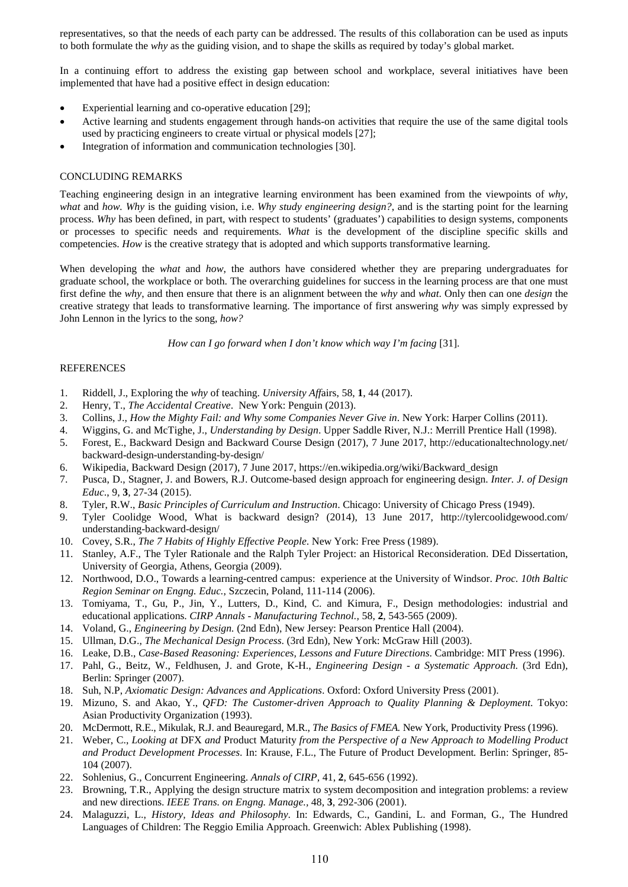representatives, so that the needs of each party can be addressed. The results of this collaboration can be used as inputs to both formulate the *why* as the guiding vision, and to shape the skills as required by today's global market.

In a continuing effort to address the existing gap between school and workplace, several initiatives have been implemented that have had a positive effect in design education:

- Experiential learning and co-operative education [29];
- Active learning and students engagement through hands-on activities that require the use of the same digital tools used by practicing engineers to create virtual or physical models [27];
- Integration of information and communication technologies [30].

## CONCLUDING REMARKS

Teaching engineering design in an integrative learning environment has been examined from the viewpoints of *why*, *what* and *how. Why* is the guiding vision, i.e. *Why study engineering design?*, and is the starting point for the learning process. *Why* has been defined, in part, with respect to students' (graduates') capabilities to design systems, components or processes to specific needs and requirements. *What* is the development of the discipline specific skills and competencies. *How* is the creative strategy that is adopted and which supports transformative learning.

When developing the *what* and *how*, the authors have considered whether they are preparing undergraduates for graduate school, the workplace or both. The overarching guidelines for success in the learning process are that one must first define the *why*, and then ensure that there is an alignment between the *why* and *what*. Only then can one *design* the creative strategy that leads to transformative learning. The importance of first answering *why* was simply expressed by John Lennon in the lyrics to the song, *how?*

*How can I go forward when I don't know which way I'm facing* [31].

## **REFERENCES**

- 1. Riddell, J., Exploring the *why* of teaching. *University Aff*airs, 58, **1**, 44 (2017).
- 2. Henry, T., *The Accidental Creative*. New York: Penguin (2013).
- 3. Collins, J., *How the Mighty Fail: and Why some Companies Never Give in*. New York: Harper Collins (2011).
- 4. Wiggins, G. and McTighe, J., *Understanding by Design*. Upper Saddle River, N.J.: Merrill Prentice Hall (1998).
- 5. Forest, E., Backward Design and Backward Course Design (2017), 7 June 2017, http://educationaltechnology.net/ backward-design-understanding-by-design/
- 6. Wikipedia, Backward Design (2017), 7 June 2017, https://en.wikipedia.org/wiki/Backward\_design
- 7. Pusca, D., Stagner, J. and Bowers, R.J. Outcome-based design approach for engineering design. *Inter. J. of Design Educ*., 9, **3**, 27-34 (2015).
- 8. Tyler, R.W., *Basic Principles of Curriculum and Instruction*. Chicago: University of Chicago Press (1949).
- 9. Tyler Coolidge Wood, What is backward design? (2014), 13 June 2017, http://tylercoolidgewood.com/ understanding-backward-design/
- 10. Covey, S.R., *The 7 Habits of Highly Effective People*. New York: Free Press (1989).
- 11. Stanley, A.F., The Tyler Rationale and the Ralph Tyler Project: an Historical Reconsideration. DEd Dissertation, University of Georgia, Athens, Georgia (2009).
- 12. Northwood, D.O., Towards a learning-centred campus: experience at the University of Windsor. *Proc. 10th Baltic Region Seminar on Engng. Educ.*, Szczecin, Poland, 111-114 (2006).
- 13. Tomiyama, T., Gu, P., Jin, Y., Lutters, D., Kind, C. and Kimura, F., Design methodologies: industrial and educational applications. *CIRP Annals - Manufacturing Technol.,* 58, **2**, 543-565 (2009).
- 14. Voland, G., *Engineering by Design.* (2nd Edn), New Jersey: Pearson Prentice Hall (2004).
- 15. Ullman, D.G., *The Mechanical Design Process*. (3rd Edn), New York: McGraw Hill (2003).
- 16. Leake, D.B., *Case-Based Reasoning: Experiences, Lessons and Future Directions*. Cambridge: MIT Press (1996).
- 17. Pahl, G., Beitz, W., Feldhusen, J. and Grote, K-H., *Engineering Design a Systematic Approach.* (3rd Edn), Berlin: Springer (2007).
- 18. Suh, N.P, *Axiomatic Design: Advances and Applications*. Oxford: Oxford University Press (2001).
- 19. Mizuno, S. and Akao, Y., *QFD: The Customer-driven Approach to Quality Planning & Deployment*. Tokyo: Asian Productivity Organization (1993).
- 20. McDermott, R.E., Mikulak, R.J. and Beauregard, M.R., *The Basics of FMEA.* New York, Productivity Press (1996).
- 21. Weber, C., *Looking at* DFX *and* Product Maturity *from the Perspective of a New Approach to Modelling Product and Product Development Processes*. In: Krause, F.L., The Future of Product Development*.* Berlin: Springer, 85- 104 (2007).
- 22. Sohlenius, G., Concurrent Engineering. *Annals of CIRP,* 41, **2**, 645-656 (1992).
- 23. Browning, T.R., Applying the design structure matrix to system decomposition and integration problems: a review and new directions. *IEEE Trans. on Engng. Manage.,* 48, **3**, 292-306 (2001).
- 24. Malaguzzi, L., *History, Ideas and Philosophy*. In: Edwards, C., Gandini, L. and Forman, G., The Hundred Languages of Children: The Reggio Emilia Approach. Greenwich: Ablex Publishing (1998).